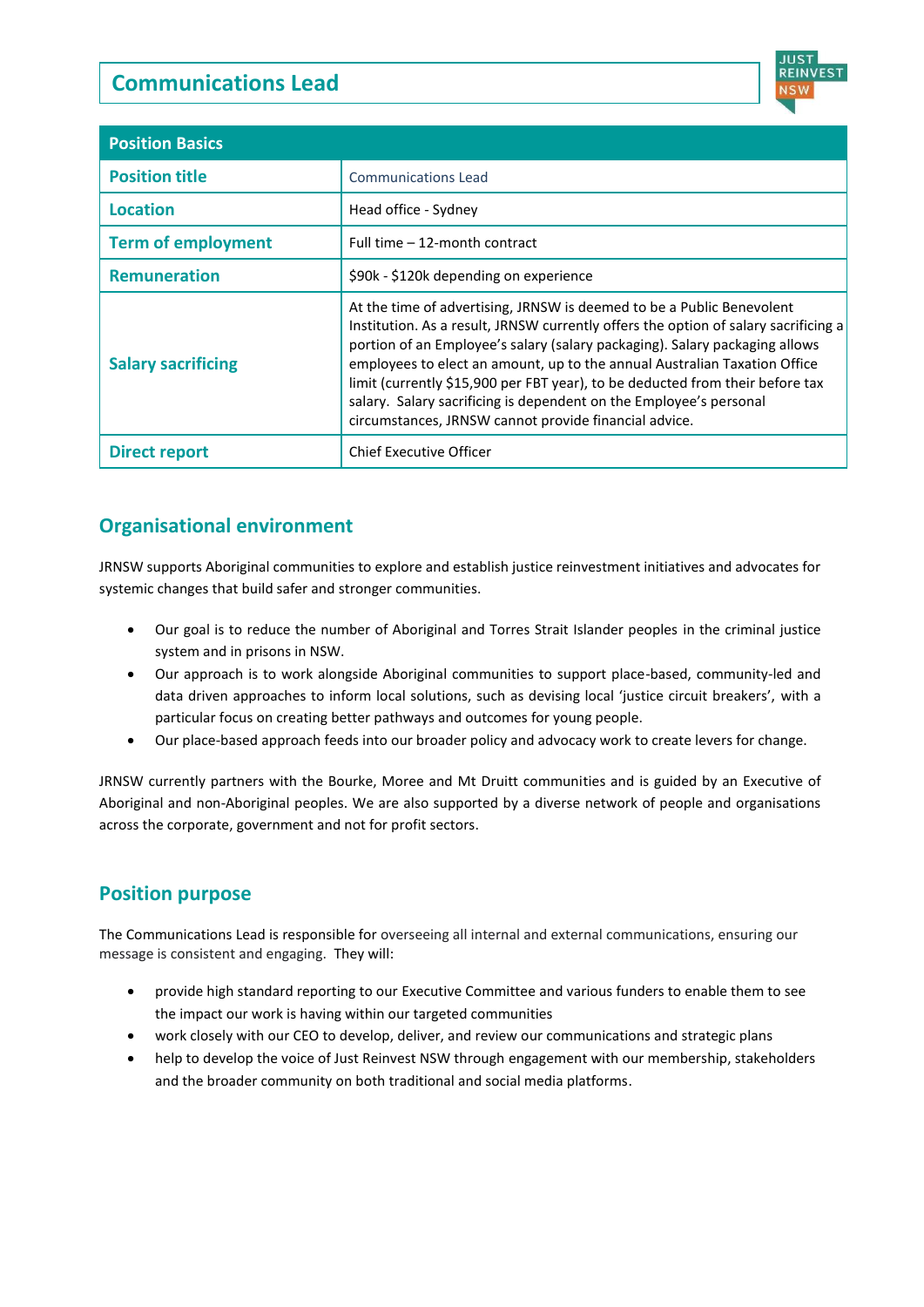# **Communications Lead**



| <b>Position Basics</b>    |                                                                                                                                                                                                                                                                                                                                                                                                                                                                                                                                          |
|---------------------------|------------------------------------------------------------------------------------------------------------------------------------------------------------------------------------------------------------------------------------------------------------------------------------------------------------------------------------------------------------------------------------------------------------------------------------------------------------------------------------------------------------------------------------------|
| <b>Position title</b>     | <b>Communications Lead</b>                                                                                                                                                                                                                                                                                                                                                                                                                                                                                                               |
| Location                  | Head office - Sydney                                                                                                                                                                                                                                                                                                                                                                                                                                                                                                                     |
| <b>Term of employment</b> | Full time - 12-month contract                                                                                                                                                                                                                                                                                                                                                                                                                                                                                                            |
| <b>Remuneration</b>       | \$90k - \$120k depending on experience                                                                                                                                                                                                                                                                                                                                                                                                                                                                                                   |
| <b>Salary sacrificing</b> | At the time of advertising, JRNSW is deemed to be a Public Benevolent<br>Institution. As a result, JRNSW currently offers the option of salary sacrificing a<br>portion of an Employee's salary (salary packaging). Salary packaging allows<br>employees to elect an amount, up to the annual Australian Taxation Office<br>limit (currently \$15,900 per FBT year), to be deducted from their before tax<br>salary. Salary sacrificing is dependent on the Employee's personal<br>circumstances, JRNSW cannot provide financial advice. |
| Direct report             | <b>Chief Executive Officer</b>                                                                                                                                                                                                                                                                                                                                                                                                                                                                                                           |

## **Organisational environment**

JRNSW supports Aboriginal communities to explore and establish justice reinvestment initiatives and advocates for systemic changes that build safer and stronger communities.

- Our goal is to reduce the number of Aboriginal and Torres Strait Islander peoples in the criminal justice system and in prisons in NSW.
- Our approach is to work alongside Aboriginal communities to support place-based, community-led and data driven approaches to inform local solutions, such as devising local 'justice circuit breakers', with a particular focus on creating better pathways and outcomes for young people.
- Our place-based approach feeds into our broader policy and advocacy work to create levers for change.

JRNSW currently partners with the Bourke, Moree and Mt Druitt communities and is guided by an Executive of Aboriginal and non-Aboriginal peoples. We are also supported by a diverse network of people and organisations across the corporate, government and not for profit sectors.

## **Position purpose**

The Communications Lead is responsible for overseeing all internal and external communications, ensuring our message is consistent and engaging. They will:

- provide high standard reporting to our Executive Committee and various funders to enable them to see the impact our work is having within our targeted communities
- work closely with our CEO to develop, deliver, and review our communications and strategic plans
- help to develop the voice of Just Reinvest NSW through engagement with our membership, stakeholders and the broader community on both traditional and social media platforms.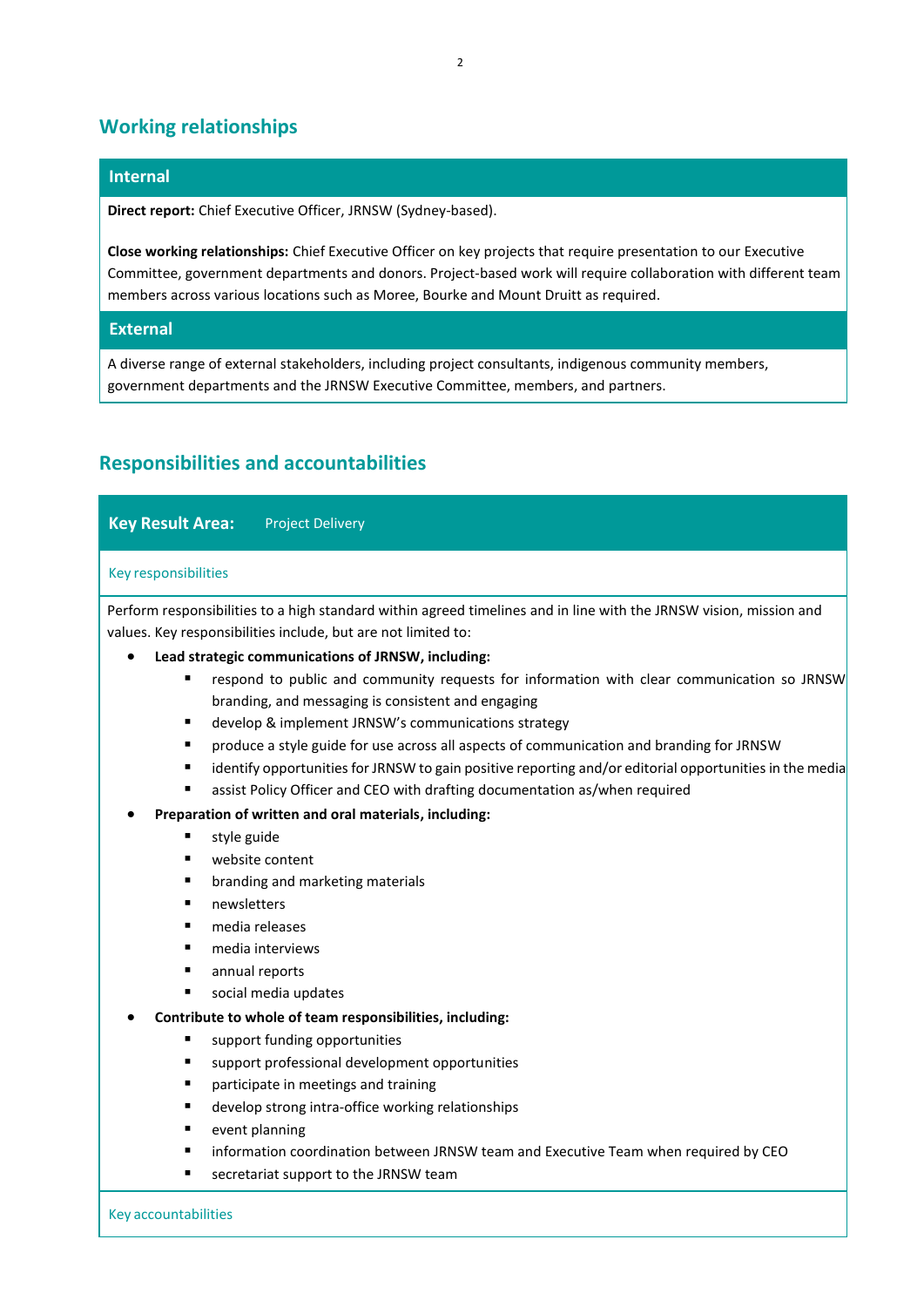### **Working relationships**

#### **Internal**

 **Direct report:** Chief Executive Officer, JRNSW (Sydney-based).

 **Close working relationships:** Chief Executive Officer on key projects that require presentation to our Executive Committee, government departments and donors. Project-based work will require collaboration with different team members across various locations such as Moree, Bourke and Mount Druitt as required.

### **External**

 A diverse range of external stakeholders, including project consultants, indigenous community members, government departments and the JRNSW Executive Committee, members, and partners.

# **Responsibilities and accountabilities**

| <b>Key Result Area:</b><br><b>Project Delivery</b>                                                                                                                                                                                                                                                                                                      |
|---------------------------------------------------------------------------------------------------------------------------------------------------------------------------------------------------------------------------------------------------------------------------------------------------------------------------------------------------------|
| <b>Key responsibilities</b>                                                                                                                                                                                                                                                                                                                             |
| Perform responsibilities to a high standard within agreed timelines and in line with the JRNSW vision, mission and<br>values. Key responsibilities include, but are not limited to:                                                                                                                                                                     |
| Lead strategic communications of JRNSW, including:                                                                                                                                                                                                                                                                                                      |
| respond to public and community requests for information with clear communication so JRNSW<br>٠<br>branding, and messaging is consistent and engaging                                                                                                                                                                                                   |
| develop & implement JRNSW's communications strategy<br>٠<br>produce a style guide for use across all aspects of communication and branding for JRNSW<br>٠<br>identify opportunities for JRNSW to gain positive reporting and/or editorial opportunities in the media<br>٠<br>assist Policy Officer and CEO with drafting documentation as/when required |
| Preparation of written and oral materials, including:                                                                                                                                                                                                                                                                                                   |
| style guide                                                                                                                                                                                                                                                                                                                                             |
| website content<br>п                                                                                                                                                                                                                                                                                                                                    |
| $\blacksquare$<br>branding and marketing materials                                                                                                                                                                                                                                                                                                      |
| newsletters<br>$\blacksquare$                                                                                                                                                                                                                                                                                                                           |
| media releases<br>$\blacksquare$                                                                                                                                                                                                                                                                                                                        |
| media interviews<br>$\blacksquare$                                                                                                                                                                                                                                                                                                                      |
| annual reports<br>п                                                                                                                                                                                                                                                                                                                                     |
| social media updates<br>$\blacksquare$                                                                                                                                                                                                                                                                                                                  |
| Contribute to whole of team responsibilities, including:                                                                                                                                                                                                                                                                                                |
| support funding opportunities<br>п                                                                                                                                                                                                                                                                                                                      |
| support professional development opportunities<br>$\blacksquare$                                                                                                                                                                                                                                                                                        |
| participate in meetings and training<br>$\blacksquare$                                                                                                                                                                                                                                                                                                  |
| develop strong intra-office working relationships<br>п                                                                                                                                                                                                                                                                                                  |
| event planning<br>п                                                                                                                                                                                                                                                                                                                                     |

- information coordination between JRNSW team and Executive Team when required by CEO
- secretariat support to the JRNSW team

Key accountabilities